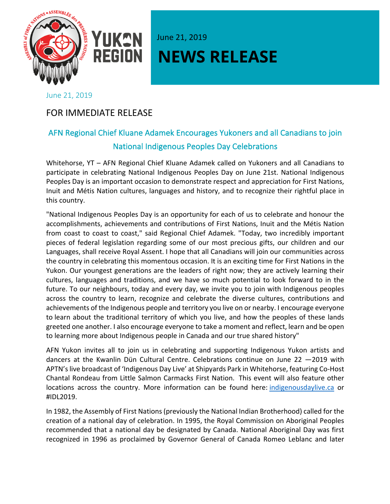

## YUKAN June 21, 2019 **NEWS RELEASE**

## June 21, 2019

## FOR IMMEDIATE RELEASE

## AFN Regional Chief Kluane Adamek Encourages Yukoners and all Canadians to join National Indigenous Peoples Day Celebrations

Whitehorse, YT – AFN Regional Chief Kluane Adamek called on Yukoners and all Canadians to participate in celebrating National Indigenous Peoples Day on June 21st. National Indigenous Peoples Day is an important occasion to demonstrate respect and appreciation for First Nations, Inuit and Métis Nation cultures, languages and history, and to recognize their rightful place in this country.

"National Indigenous Peoples Day is an opportunity for each of us to celebrate and honour the accomplishments, achievements and contributions of First Nations, Inuit and the Métis Nation from coast to coast to coast," said Regional Chief Adamek. "Today, two incredibly important pieces of federal legislation regarding some of our most precious gifts, our children and our Languages, shall receive Royal Assent. I hope that all Canadians will join our communities across the country in celebrating this momentous occasion. It is an exciting time for First Nations in the Yukon. Our youngest generations are the leaders of right now; they are actively learning their cultures, languages and traditions, and we have so much potential to look forward to in the future. To our neighbours, today and every day, we invite you to join with Indigenous peoples across the country to learn, recognize and celebrate the diverse cultures, contributions and achievements of the Indigenous people and territory you live on or nearby. I encourage everyone to learn about the traditional territory of which you live, and how the peoples of these lands greeted one another. I also encourage everyone to take a moment and reflect, learn and be open to learning more about Indigenous people in Canada and our true shared history"

AFN Yukon invites all to join us in celebrating and supporting Indigenous Yukon artists and dancers at the Kwanlin Dün Cultural Centre. Celebrations continue on June 22 —2019 with APTN's live broadcast of 'Indigenous Day Live' at Shipyards Park in Whitehorse, featuring Co-Host Chantal Rondeau from Little Salmon Carmacks First Nation. This event will also feature other locations across the country. More information can be found here: indigenousdaylive.ca or #IDL2019.

In 1982, the Assembly of First Nations (previously the National Indian Brotherhood) called for the creation of a national day of celebration. In 1995, the Royal Commission on Aboriginal Peoples recommended that a national day be designated by Canada. National Aboriginal Day was first recognized in 1996 as proclaimed by Governor General of Canada Romeo Leblanc and later